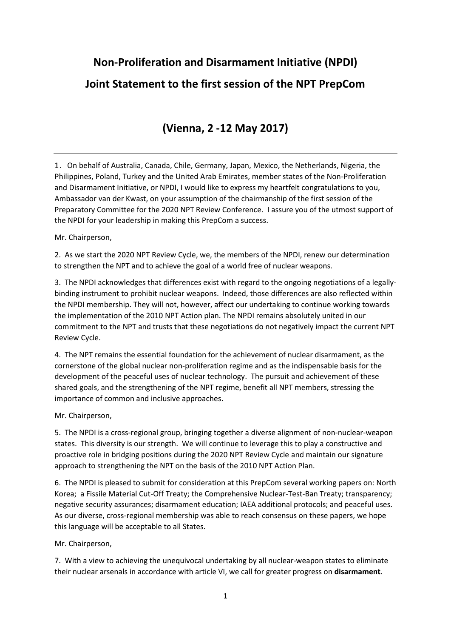**Non-Proliferation and Disarmament Initiative (NPDI)**

## **Joint Statement to the first session of the NPT PrepCom**

## **(Vienna, 2 -12 May 2017)**

1.On behalf of Australia, Canada, Chile, Germany, Japan, Mexico, the Netherlands, Nigeria, the Philippines, Poland, Turkey and the United Arab Emirates, member states of the Non-Proliferation and Disarmament Initiative, or NPDI, I would like to express my heartfelt congratulations to you, Ambassador van der Kwast, on your assumption of the chairmanship of the first session of the Preparatory Committee for the 2020 NPT Review Conference. I assure you of the utmost support of the NPDI for your leadership in making this PrepCom a success.

Mr. Chairperson,

2. As we start the 2020 NPT Review Cycle, we, the members of the NPDI, renew our determination to strengthen the NPT and to achieve the goal of a world free of nuclear weapons.

3. The NPDI acknowledges that differences exist with regard to the ongoing negotiations of a legallybinding instrument to prohibit nuclear weapons. Indeed, those differences are also reflected within the NPDI membership. They will not, however, affect our undertaking to continue working towards the implementation of the 2010 NPT Action plan. The NPDI remains absolutely united in our commitment to the NPT and trusts that these negotiations do not negatively impact the current NPT Review Cycle.

4. The NPT remains the essential foundation for the achievement of nuclear disarmament, as the cornerstone of the global nuclear non-proliferation regime and as the indispensable basis for the development of the peaceful uses of nuclear technology. The pursuit and achievement of these shared goals, and the strengthening of the NPT regime, benefit all NPT members, stressing the importance of common and inclusive approaches.

Mr. Chairperson,

5. The NPDI is a cross-regional group, bringing together a diverse alignment of non-nuclear-weapon states. This diversity is our strength. We will continue to leverage this to play a constructive and proactive role in bridging positions during the 2020 NPT Review Cycle and maintain our signature approach to strengthening the NPT on the basis of the 2010 NPT Action Plan.

6. The NPDI is pleased to submit for consideration at this PrepCom several working papers on: North Korea; a Fissile Material Cut-Off Treaty; the Comprehensive Nuclear-Test-Ban Treaty; transparency; negative security assurances; disarmament education; IAEA additional protocols; and peaceful uses. As our diverse, cross-regional membership was able to reach consensus on these papers, we hope this language will be acceptable to all States.

Mr. Chairperson,

7. With a view to achieving the unequivocal undertaking by all nuclear-weapon states to eliminate their nuclear arsenals in accordance with article VI, we call for greater progress on **disarmament**.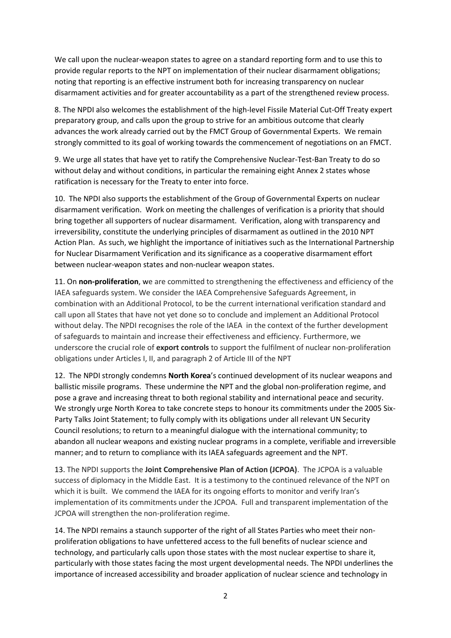We call upon the nuclear-weapon states to agree on a standard reporting form and to use this to provide regular reports to the NPT on implementation of their nuclear disarmament obligations; noting that reporting is an effective instrument both for increasing transparency on nuclear disarmament activities and for greater accountability as a part of the strengthened review process.

8. The NPDI also welcomes the establishment of the high-level Fissile Material Cut-Off Treaty expert preparatory group, and calls upon the group to strive for an ambitious outcome that clearly advances the work already carried out by the FMCT Group of Governmental Experts. We remain strongly committed to its goal of working towards the commencement of negotiations on an FMCT.

9. We urge all states that have yet to ratify the Comprehensive Nuclear-Test-Ban Treaty to do so without delay and without conditions, in particular the remaining eight Annex 2 states whose ratification is necessary for the Treaty to enter into force.

10. The NPDI also supports the establishment of the Group of Governmental Experts on nuclear disarmament verification. Work on meeting the challenges of verification is a priority that should bring together all supporters of nuclear disarmament. Verification, along with transparency and irreversibility, constitute the underlying principles of disarmament as outlined in the 2010 NPT Action Plan. As such, we highlight the importance of initiatives such as the International Partnership for Nuclear Disarmament Verification and its significance as a cooperative disarmament effort between nuclear-weapon states and non-nuclear weapon states.

11. On **non-proliferation**, we are committed to strengthening the effectiveness and efficiency of the IAEA safeguards system. We consider the IAEA Comprehensive Safeguards Agreement, in combination with an Additional Protocol, to be the current international verification standard and call upon all States that have not yet done so to conclude and implement an Additional Protocol without delay. The NPDI recognises the role of the IAEA in the context of the further development of safeguards to maintain and increase their effectiveness and efficiency. Furthermore, we underscore the crucial role of **export controls** to support the fulfilment of nuclear non-proliferation obligations under Articles I, II, and paragraph 2 of Article III of the NPT

12. The NPDI strongly condemns **North Korea**'s continued development of its nuclear weapons and ballistic missile programs. These undermine the NPT and the global non-proliferation regime, and pose a grave and increasing threat to both regional stability and international peace and security. We strongly urge North Korea to take concrete steps to honour its commitments under the 2005 Six-Party Talks Joint Statement; to fully comply with its obligations under all relevant UN Security Council resolutions; to return to a meaningful dialogue with the international community; to abandon all nuclear weapons and existing nuclear programs in a complete, verifiable and irreversible manner; and to return to compliance with its IAEA safeguards agreement and the NPT.

13. The NPDI supports the **Joint Comprehensive Plan of Action (JCPOA)**. The JCPOA is a valuable success of diplomacy in the Middle East. It is a testimony to the continued relevance of the NPT on which it is built. We commend the IAEA for its ongoing efforts to monitor and verify Iran's implementation of its commitments under the JCPOA. Full and transparent implementation of the JCPOA will strengthen the non-proliferation regime.

14. The NPDI remains a staunch supporter of the right of all States Parties who meet their nonproliferation obligations to have unfettered access to the full benefits of nuclear science and technology, and particularly calls upon those states with the most nuclear expertise to share it, particularly with those states facing the most urgent developmental needs. The NPDI underlines the importance of increased accessibility and broader application of nuclear science and technology in